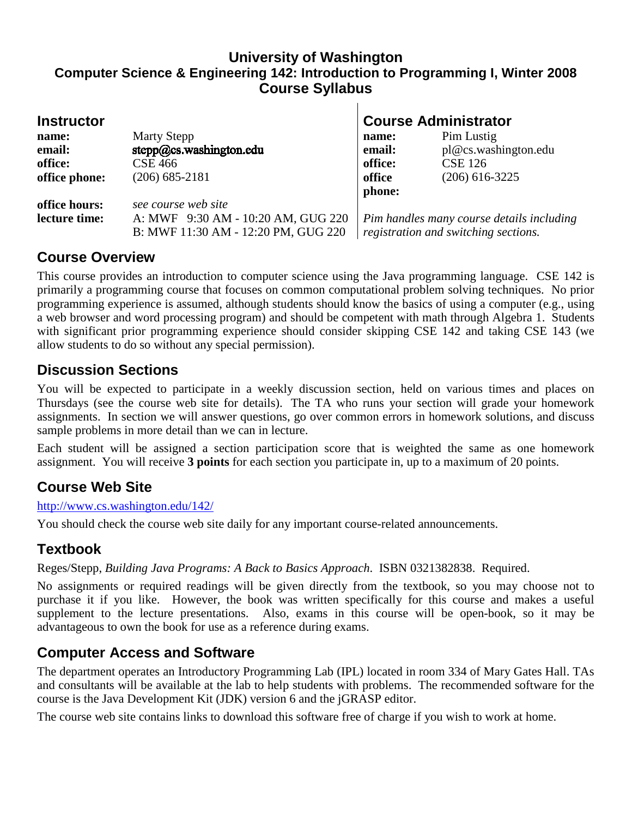#### **University of Washington Computer Science & Engineering 142: Introduction to Programming I, Winter 2008 Course Syllabus**

 $\mathbf{I}$ 

| <b>Instructor</b> |                                     | <b>Course Administrator</b>               |                      |
|-------------------|-------------------------------------|-------------------------------------------|----------------------|
| name:             | <b>Marty Stepp</b>                  | name:                                     | Pim Lustig           |
| email:            | stepp@cs.washington.edu             | email:                                    | pl@cs.washington.edu |
| office:           | <b>CSE 466</b>                      | office:                                   | <b>CSE 126</b>       |
| office phone:     | $(206)$ 685-2181                    | office                                    | $(206)$ 616-3225     |
|                   |                                     | phone:                                    |                      |
| office hours:     | see course web site                 |                                           |                      |
| lecture time:     | A: MWF 9:30 AM - 10:20 AM, GUG 220  | Pim handles many course details including |                      |
|                   | B: MWF 11:30 AM - 12:20 PM, GUG 220 | registration and switching sections.      |                      |

## **Course Overview**

This course provides an introduction to computer science using the Java programming language. CSE 142 is primarily a programming course that focuses on common computational problem solving techniques. No prior programming experience is assumed, although students should know the basics of using a computer (e.g., using a web browser and word processing program) and should be competent with math through Algebra 1. Students with significant prior programming experience should consider skipping CSE 142 and taking CSE 143 (we allow students to do so without any special permission).

## **Discussion Sections**

You will be expected to participate in a weekly discussion section, held on various times and places on Thursdays (see the course web site for details). The TA who runs your section will grade your homework assignments. In section we will answer questions, go over common errors in homework solutions, and discuss sample problems in more detail than we can in lecture.

Each student will be assigned a section participation score that is weighted the same as one homework assignment. You will receive **3 points** for each section you participate in, up to a maximum of 20 points.

# **Course Web Site**

http://www.cs.washington.edu/142/

You should check the course web site daily for any important course-related announcements.

# **Textbook**

Reges/Stepp, *Building Java Programs: A Back to Basics Approach*. ISBN 0321382838. Required.

No assignments or required readings will be given directly from the textbook, so you may choose not to purchase it if you like. However, the book was written specifically for this course and makes a useful supplement to the lecture presentations. Also, exams in this course will be open-book, so it may be advantageous to own the book for use as a reference during exams.

# **Computer Access and Software**

The department operates an Introductory Programming Lab (IPL) located in room 334 of Mary Gates Hall. TAs and consultants will be available at the lab to help students with problems. The recommended software for the course is the Java Development Kit (JDK) version 6 and the jGRASP editor.

The course web site contains links to download this software free of charge if you wish to work at home.